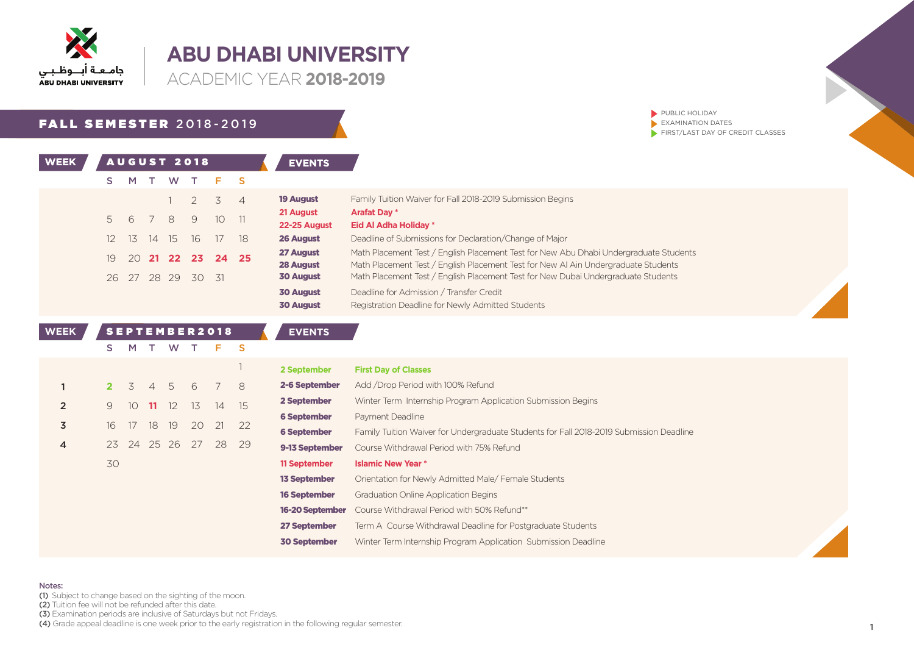

**ACADEMIC YEAR 2018-2019** 

### **FALL SEMESTER 2018-2019**

26 27 28 29 30 31

| WEEK |     |         |    |      | AUGUST 2018 |                   |                | <b>EVENTS</b>             |                                                                                  |
|------|-----|---------|----|------|-------------|-------------------|----------------|---------------------------|----------------------------------------------------------------------------------|
|      |     | M       |    | W.   | T           |                   | - S            |                           |                                                                                  |
|      |     |         |    |      | $1 \t2 \t3$ |                   | $\overline{4}$ | <b>19 August</b>          | Family Tuition Waiver for Fall 2018-2019 Submission Begins                       |
|      | 5   | 6 7 8 9 |    |      |             | 10 <sup>1</sup>   |                | 21 August                 | <b>Arafat Day *</b>                                                              |
|      | 12. | 13      | 14 | - 15 | 16          |                   | 18             | 22-25 August<br>26 August | Eid Al Adha Holiday *<br>Deadline of Submissions for Declaration/Change of Major |
|      |     |         |    |      |             |                   |                | 27 August                 | Math Placement Test / English Placement Test for New Abu                         |
|      | 19  |         |    |      |             | 20 21 22 23 24 25 |                | 28 August                 | Math Placement Test / English Placement Test for New AI Ai                       |

**30 August** Bu Dhabi Undergraduate Students AI Ain Undergraduate Students Math Placement Test / English Placement Test for New Dubai Undergraduate Students **30 August** Deadline for Admission / Transfer Credit

 $\blacktriangleright$  PUBLIC HOLIDAY  $\blacktriangleright$  EXAMINATION DATES

 $\blacktriangleright$  FIRST/LAST DAY OF CREDIT CLASSES

**30 August** Registration Deadline for Newly Admitted Students

| <b>WEEK</b>    |    |                 |                |       | SEPTEMBER2018 |    |          | <b>EVENTS</b>       |                                                                                         |
|----------------|----|-----------------|----------------|-------|---------------|----|----------|---------------------|-----------------------------------------------------------------------------------------|
|                | s  | м               |                | w     |               | F. | <b>S</b> |                     |                                                                                         |
|                |    |                 |                |       |               |    |          | 2 September         | <b>First Day of Classes</b>                                                             |
|                |    | 3               | $\overline{4}$ | - 5   | 6             |    | 8        | 2-6 September       | Add / Drop Period with 100% Refund                                                      |
| $\overline{2}$ | 9. | 10 <sup>°</sup> | -11            | 12    | 13.           | 14 | 15       | 2 September         | Winter Term Internship Program Application Submission Begins                            |
|                |    |                 |                |       |               |    |          | <b>6 September</b>  | Payment Deadline                                                                        |
| 3              | 16 | 17              | 18             | 19    | 20            | 21 | 22       | <b>6 September</b>  | Family Tuition Waiver for Undergraduate Students for Fall 2018-2019 Submission Deadline |
| 4              | 23 | 24              |                | 25 26 | 27            | 28 | 29       | 9-13 September      | Course Withdrawal Period with 75% Refund                                                |
|                | 30 |                 |                |       |               |    |          | 11 September        | <b>Islamic New Year *</b>                                                               |
|                |    |                 |                |       |               |    |          | <b>13 September</b> | Orientation for Newly Admitted Male/ Female Students                                    |
|                |    |                 |                |       |               |    |          | <b>16 September</b> | <b>Graduation Online Application Begins</b>                                             |
|                |    |                 |                |       |               |    |          | 16-20 September     | Course Withdrawal Period with 50% Refund**                                              |
|                |    |                 |                |       |               |    |          | 27 September        | Term A Course Withdrawal Deadline for Postgraduate Students                             |
|                |    |                 |                |       |               |    |          | <b>30 September</b> | Winter Term Internship Program Application Submission Deadline                          |
|                |    |                 |                |       |               |    |          |                     |                                                                                         |

#### Notes:

(1) Subject to change based on the sighting of the moon.

(2) Tuition fee will not be refunded after this date.

 $\overline{3}$ . Examination periods are inclusive of Saturdays but not Fridays.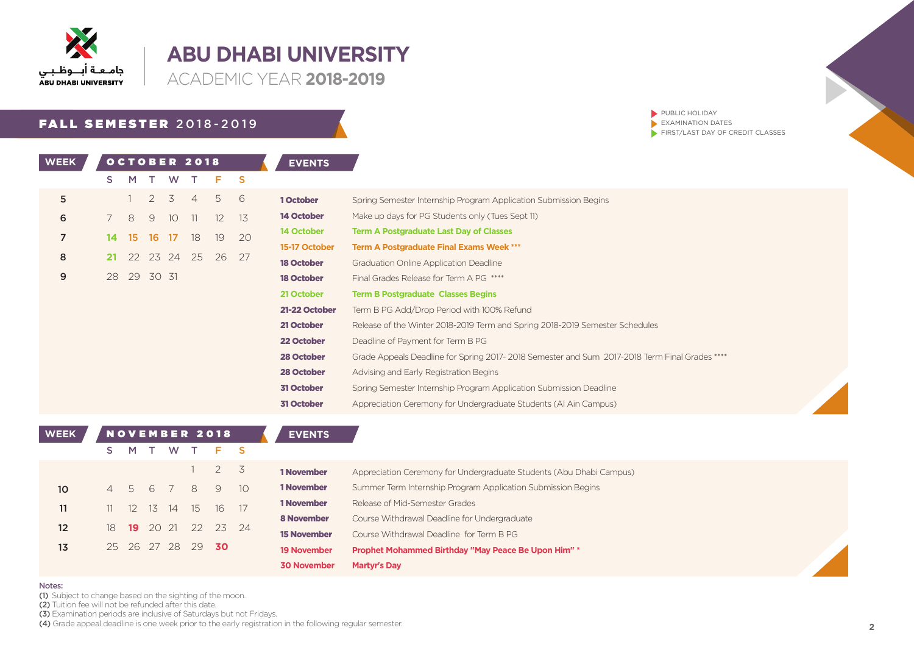

**ACADEMIC YEAR 2018-2019** 

## **FALL SEMESTER 2018-2019**

WEEK OCTOBER 2018 A EVENTS

PUBLIC HOLIDAY  $\blacktriangleright$  EXAMINATION DATES  $\blacktriangleright$  FIRST/LAST DAY OF CREDIT CLASSES

|                | S. | M        |                | W.              |                | Е.       | -S |                   |                                                                                               |
|----------------|----|----------|----------------|-----------------|----------------|----------|----|-------------------|-----------------------------------------------------------------------------------------------|
| 5              |    |          | $\overline{2}$ | 3               | $\overline{4}$ | 5        | 6  | 1 October         | Spring Semester Internship Program Application Submission Begins                              |
| 6              |    | 8        | 9              | 10 <sup>°</sup> | 11             | $12^{1}$ | 13 | 14 October        | Make up days for PG Students only (Tues Sept 11)                                              |
| $\overline{7}$ | 14 | 15       | -16            | -17             | 18             | 19       | 20 | 14 October        | <b>Term A Postgraduate Last Day of Classes</b>                                                |
|                |    |          |                |                 |                |          |    | 15-17 October     | <b>Term A Postgraduate Final Exams Week ***</b>                                               |
| 8              | 21 |          |                | 22 23 24        | 25             | 26       | 27 | <b>18 October</b> | <b>Graduation Online Application Deadline</b>                                                 |
| 9              | 28 | 29 30 31 |                |                 |                |          |    | <b>18 October</b> | Final Grades Release for Term A PG ****                                                       |
|                |    |          |                |                 |                |          |    | 21 October        | <b>Term B Postgraduate Classes Begins</b>                                                     |
|                |    |          |                |                 |                |          |    | 21-22 October     | Term B PG Add/Drop Period with 100% Refund                                                    |
|                |    |          |                |                 |                |          |    | 21 October        | Release of the Winter 2018-2019 Term and Spring 2018-2019 Semester Schedules                  |
|                |    |          |                |                 |                |          |    | 22 October        | Deadline of Payment for Term B PG                                                             |
|                |    |          |                |                 |                |          |    | 28 October        | Grade Appeals Deadline for Spring 2017-2018 Semester and Sum 2017-2018 Term Final Grades **** |
|                |    |          |                |                 |                |          |    | 28 October        | Advising and Early Registration Begins                                                        |
|                |    |          |                |                 |                |          |    | 31 October        | Spring Semester Internship Program Application Submission Deadline                            |
|                |    |          |                |                 |                |          |    | 31 October        | Appreciation Ceremony for Undergraduate Students (Al Ain Campus)                              |

| <b>WEEK</b>       |                |               |       | <b>NOVEMBER 2018</b> |     |             |       | <b>EVENTS</b>      |                                                                     |
|-------------------|----------------|---------------|-------|----------------------|-----|-------------|-------|--------------------|---------------------------------------------------------------------|
|                   | S.             | M             |       | W                    |     | $F-S$       |       |                    |                                                                     |
|                   |                |               |       |                      |     | $2^{\circ}$ | 3     | 1 November         | Appreciation Ceremony for Undergraduate Students (Abu Dhabi Campus) |
| 10 <sup>°</sup>   | $\overline{4}$ | $\mathcal{L}$ | 6     |                      | 8   | 9           | 1O    | 1 November         | Summer Term Internship Program Application Submission Begins        |
| 11                | 11 -           | -12           | 13    | 14                   | 15  | 16          | -17   | 1 November         | Release of Mid-Semester Grades                                      |
| $12 \overline{ }$ | 18             | 19            | 20 21 |                      | 22  |             | 23 24 | <b>8 November</b>  | Course Withdrawal Deadline for Undergraduate                        |
|                   |                |               |       |                      |     |             |       | <b>15 November</b> | Course Withdrawal Deadline for Term B PG                            |
| 13                |                | 25 26 27 28   |       |                      | -29 | -30         |       | <b>19 November</b> | Prophet Mohammed Birthday "May Peace Be Upon Him" *                 |
|                   |                |               |       |                      |     |             |       | <b>30 November</b> | <b>Martyr's Day</b>                                                 |

#### Notes:

(1) Subject to change based on the sighting of the moon.

(2) Tuition fee will not be refunded after this date.

(3) Examination periods are inclusive of Saturdays but not Fridays.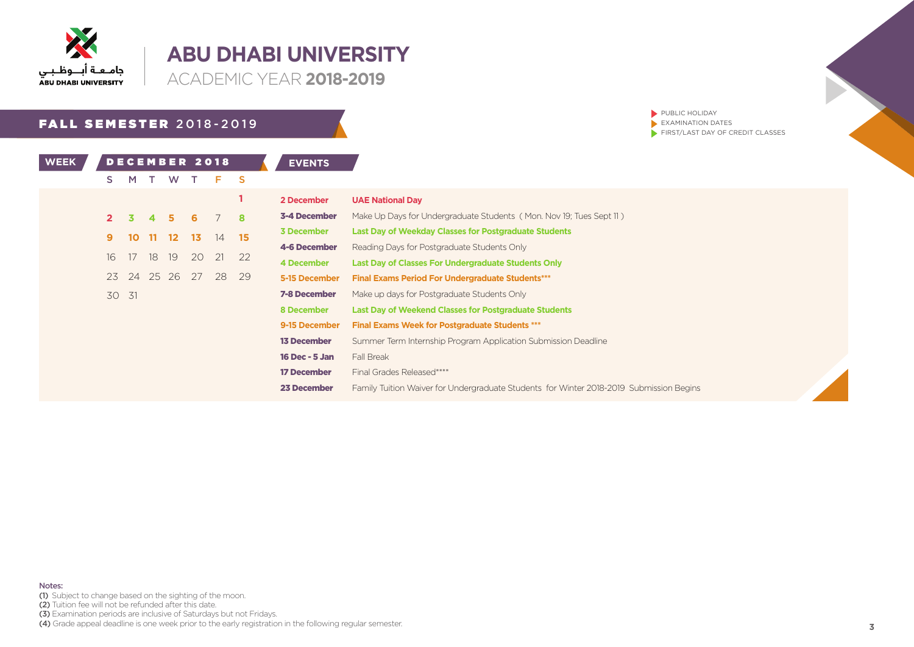

I

## **ABU DHABI UNIVERSITY**

**ACADEMIC YEAR 2018-2019** 

## **FALL SEMESTER 2018-2019**

PUBLIC HOLIDAY  $\blacktriangleright$  EXAMINATION DATES  $\blacktriangleright$  FIRST/LAST DAY OF CREDIT CLASSES

| <b>WEEK</b> |    |       |    |                 |    | DECEMBER 2018 |    | <b>EVENTS</b>       |                                                                                         |
|-------------|----|-------|----|-----------------|----|---------------|----|---------------------|-----------------------------------------------------------------------------------------|
|             | S. | м     |    | w               |    | F.            | S  |                     |                                                                                         |
|             |    |       |    |                 |    |               |    | 2 December          | <b>UAE National Day</b>                                                                 |
|             |    | 3.    |    |                 |    |               | 8  | 3-4 December        | Make Up Days for Undergraduate Students (Mon. Nov 19; Tues Sept 11)                     |
|             | 9  | 10    | 11 | 12 <sup>°</sup> | 13 | 14            | 15 | <b>3 December</b>   | <b>Last Day of Weekday Classes for Postgraduate Students</b>                            |
|             |    |       |    |                 |    |               |    | 4-6 December        | Reading Days for Postgraduate Students Only                                             |
|             | 16 | 17    | 18 | 19              | 20 | 21            | 22 | 4 December          | Last Day of Classes For Undergraduate Students Only                                     |
|             | 23 | 24    |    | 25 26           | 27 | 28            | 29 | 5-15 December       | <b>Final Exams Period For Undergraduate Students***</b>                                 |
|             |    | 30 31 |    |                 |    |               |    | <b>7-8 December</b> | Make up days for Postgraduate Students Only                                             |
|             |    |       |    |                 |    |               |    | 8 December          | <b>Last Day of Weekend Classes for Postgraduate Students</b>                            |
|             |    |       |    |                 |    |               |    | 9-15 December       | <b>Final Exams Week for Postgraduate Students ***</b>                                   |
|             |    |       |    |                 |    |               |    | <b>13 December</b>  | Summer Term Internship Program Application Submission Deadline                          |
|             |    |       |    |                 |    |               |    | 16 Dec - 5 Jan      | Fall Break                                                                              |
|             |    |       |    |                 |    |               |    | <b>17 December</b>  | Final Grades Released*****                                                              |
|             |    |       |    |                 |    |               |    | 23 December         | Family Tuition Waiver for Undergraduate Students for Winter 2018-2019 Submission Begins |

Notes:

(1) Subject to change based on the sighting of the moon.

(2) Tuition fee will not be refunded after this date.

(3) Examination periods are inclusive of Saturdays but not Fridays.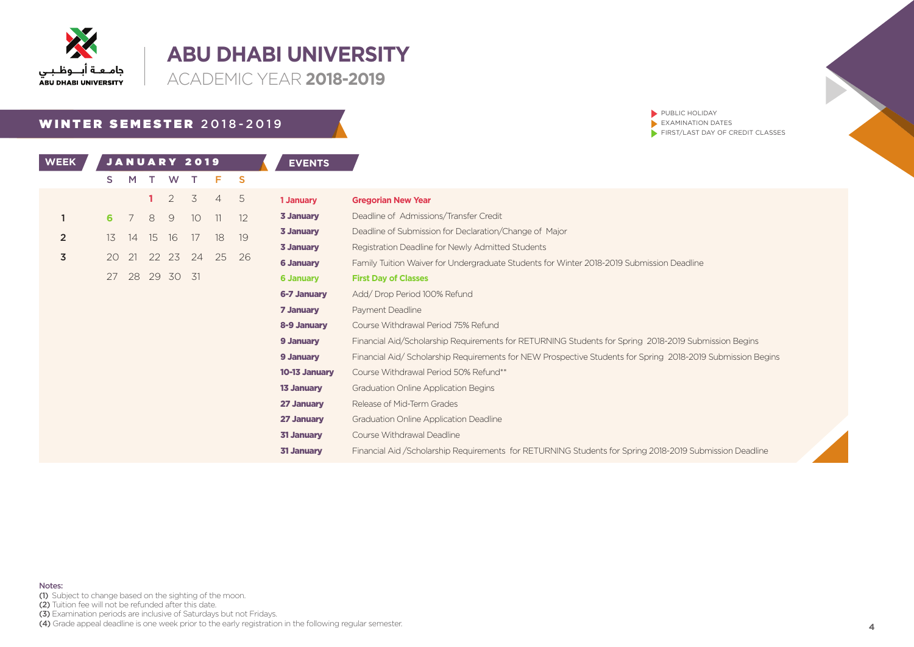

**ACADEMIC YEAR 2018-2019** 

## WINTER SEMESTER 2018-2019

PUBLIC HOLIDAY  $\blacktriangleright$  EXAMINATION DATES  $\blacktriangleright$  FIRST/LAST DAY OF CREDIT CLASSES

| WEEK           |    |    |    | JANUARY 2019 |    |                |          | <b>EVENTS</b>    |                                                                                                            |
|----------------|----|----|----|--------------|----|----------------|----------|------------------|------------------------------------------------------------------------------------------------------------|
|                | S. | M  |    | W            |    | F.             | <b>S</b> |                  |                                                                                                            |
|                |    |    |    | 2            | 3  | $\overline{4}$ | -5       | 1 January        | <b>Gregorian New Year</b>                                                                                  |
|                | 6  |    | 8  | 9            | 10 | 11             | 12       | 3 January        | Deadline of Admissions/Transfer Credit                                                                     |
| $\overline{2}$ | 13 | 14 | 15 | 16           | 17 | 18             | 19       | 3 January        | Deadline of Submission for Declaration/Change of Major                                                     |
|                |    |    |    |              |    |                |          | 3 January        | Registration Deadline for Newly Admitted Students                                                          |
| 3              | 20 | 21 |    | 22 23        | 24 | 25             | 26       | <b>6 January</b> | Family Tuition Waiver for Undergraduate Students for Winter 2018-2019 Submission Deadline                  |
|                | 27 |    |    | 28 29 30 31  |    |                |          | <b>6 January</b> | <b>First Day of Classes</b>                                                                                |
|                |    |    |    |              |    |                |          | 6-7 January      | Add/Drop Period 100% Refund                                                                                |
|                |    |    |    |              |    |                |          | 7 January        | Payment Deadline                                                                                           |
|                |    |    |    |              |    |                |          | 8-9 January      | Course Withdrawal Period 75% Refund                                                                        |
|                |    |    |    |              |    |                |          | 9 January        | Financial Aid/Scholarship Requirements for RETURNING Students for Spring 2018-2019 Submission Begins       |
|                |    |    |    |              |    |                |          | 9 January        | Financial Aid/Scholarship Requirements for NEW Prospective Students for Spring 2018-2019 Submission Begins |
|                |    |    |    |              |    |                |          | 10-13 January    | Course Withdrawal Period 50% Refund**                                                                      |
|                |    |    |    |              |    |                |          | 13 January       | Graduation Online Application Begins                                                                       |
|                |    |    |    |              |    |                |          | 27 January       | Release of Mid-Term Grades                                                                                 |
|                |    |    |    |              |    |                |          | 27 January       | Graduation Online Application Deadline                                                                     |
|                |    |    |    |              |    |                |          | 31 January       | Course Withdrawal Deadline                                                                                 |
|                |    |    |    |              |    |                |          | 31 January       | Financial Aid /Scholarship Requirements for RETURNING Students for Spring 2018-2019 Submission Deadline    |
|                |    |    |    |              |    |                |          |                  |                                                                                                            |

- (1) Subject to change based on the sighting of the moon.
- (2) Tuition fee will not be refunded after this date.
- (3) Examination periods are inclusive of Saturdays but not Fridays.
- (4) Grade appeal deadline is one week prior to the early registration in the following regular semester.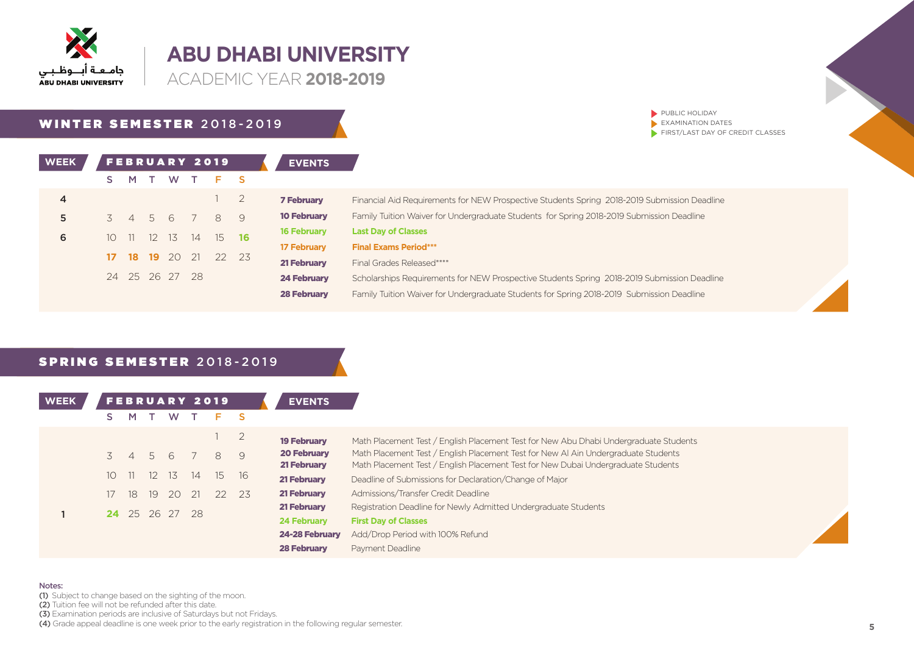

**ACADEMIC YEAR 2018-2019** 

### WINTER SEMESTER 2018-2019

| <b>WEEK</b> |    |     |        |                | <b>FEBRUARY 2019</b> |                          |                | <b>EVENTS</b>      |
|-------------|----|-----|--------|----------------|----------------------|--------------------------|----------------|--------------------|
|             | S. | M   | $\top$ | <b>W</b>       | T                    | F S                      |                |                    |
| 4           |    |     |        |                |                      | 1                        | $\overline{2}$ | <b>7 February</b>  |
| 5           |    |     |        |                | 3 4 5 6 7 8          |                          | 9              | <b>10 February</b> |
| 6           | 10 | -11 |        |                | 12 13 14 15          |                          | 16             | <b>16 February</b> |
|             |    |     |        |                |                      | <b>18 19</b> 20 21 22 23 |                | <b>17 February</b> |
|             |    |     |        |                |                      |                          |                | <b>21 February</b> |
|             |    |     |        | 24 25 26 27 28 |                      |                          |                | <b>24 February</b> |
|             |    |     |        |                |                      |                          |                | 30 February        |

| <b>7 February</b>  | Financial Aid Requirements for NEW Prospective Students Spring 2018-2019 Submission Deadline |
|--------------------|----------------------------------------------------------------------------------------------|
| <b>10 February</b> | Family Tuition Waiver for Undergraduate Students for Spring 2018-2019 Submission Deadline    |
| <b>16 February</b> | <b>Last Day of Classes</b>                                                                   |
| <b>17 February</b> | <b>Final Exams Period***</b>                                                                 |
| 21 February        | Final Grades Released****                                                                    |
| <b>24 February</b> | Scholarships Requirements for NEW Prospective Students Spring 2018-2019 Submission Deadline  |
| <b>28 February</b> | Family Tuition Waiver for Undergraduate Students for Spring 2018-2019 Submission Deadline    |
|                    |                                                                                              |

 $\blacktriangleright$  PUBLIC HOLIDAY  $\blacktriangleright$  EXAMINATION DATES

 $\blacktriangleright$  FIRST/LAST DAY OF CREDIT CLASSES

### SPRING SEMESTER 2018-2019

| <b>WEEK</b> |                 |                |    | <b>FEBRUARY 2019</b> |    |    |       | <b>EVENTS</b>      |                                                                                       |
|-------------|-----------------|----------------|----|----------------------|----|----|-------|--------------------|---------------------------------------------------------------------------------------|
|             |                 | M              |    | W                    |    |    |       |                    |                                                                                       |
|             |                 |                |    |                      |    |    | 2     | <b>19 February</b> | Math Placement Test / English Placement Test for New Abu Dhabi Undergraduate Students |
|             |                 | $\overline{4}$ | 5  | 6                    |    | 8  | 9     | <b>20 February</b> | Math Placement Test / English Placement Test for New AI Ain Undergraduate Students    |
|             |                 |                |    |                      |    |    |       | 21 February        | Math Placement Test / English Placement Test for New Dubai Undergraduate Students     |
|             | 10 <sup>°</sup> |                |    | 12 13                | 14 |    | 15 16 | 21 February        | Deadline of Submissions for Declaration/Change of Major                               |
|             |                 | 18             | 19 | 20                   | 21 | 22 | 23    | 21 February        | Admissions/Transfer Credit Deadline                                                   |
|             |                 |                |    |                      |    |    |       | 21 February        | Registration Deadline for Newly Admitted Undergraduate Students                       |
|             |                 |                |    | 24 25 26 27 28       |    |    |       | <b>24 February</b> | <b>First Day of Classes</b>                                                           |
|             |                 |                |    |                      |    |    |       | 24-28 February     | Add/Drop Period with 100% Refund                                                      |
|             |                 |                |    |                      |    |    |       | <b>28 February</b> | Payment Deadline                                                                      |

#### Notes:

(1) Subject to change based on the sighting of the moon.

(2) Tuition fee will not be refunded after this date.

 $\overline{3}$ . Examination periods are inclusive of Saturdays but not Fridays.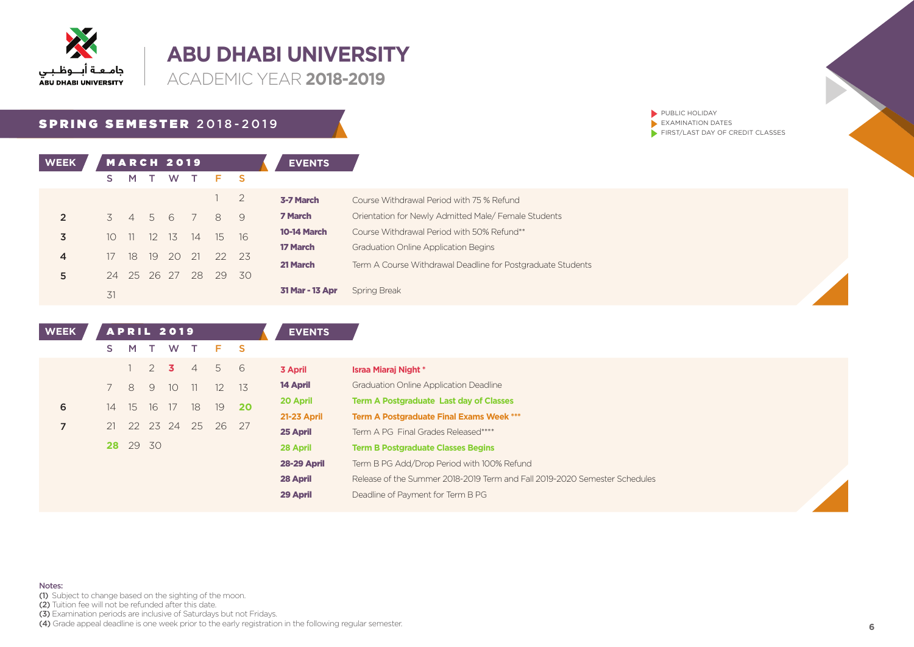

**ACADEMIC YEAR 2018-2019** 

### SPRING SEMESTER 2018-2019

| <b>WEEK</b>    |                 |                |     | <b>MARCH 2019</b> |                |       |     | <b>EVENTS</b>      |                                                             |
|----------------|-----------------|----------------|-----|-------------------|----------------|-------|-----|--------------------|-------------------------------------------------------------|
|                | s               | M              |     | W                 |                | Е     | - S |                    |                                                             |
|                |                 |                |     |                   |                |       | 2   | 3-7 March          | Course Withdrawal Period with 75 % Refund                   |
| $\overline{2}$ | 3               | $\overline{4}$ | 5 6 |                   | $\overline{7}$ | 8     | 9   | 7 March            | Orientation for Newly Admitted Male/Female Students         |
| 3              | 10 <sup>1</sup> | -11            | -12 | - 13              | 14             | 15    | 16  | <b>10-14 March</b> | Course Withdrawal Period with 50% Refund**                  |
|                |                 |                |     |                   |                |       |     | 17 March           | <b>Graduation Online Application Begins</b>                 |
| $\overline{4}$ | 17              | 18             | 19  | 20                | 21             | 22 23 |     | 21 March           | Term A Course Withdrawal Deadline for Postgraduate Students |
| 5              | 24              | 25 26 27       |     |                   | 28             | 29    | 30  |                    |                                                             |
|                | 31              |                |     |                   |                |       |     | 31 Mar - 13 Apr    | Spring Break                                                |

| <b>WEEK</b> |    |          |                | <b>APRIL 2019</b> |                |                   |       | <b>EVENTS</b>      |                                                                            |
|-------------|----|----------|----------------|-------------------|----------------|-------------------|-------|--------------------|----------------------------------------------------------------------------|
|             | S. | M        |                | W                 |                | F.                | - S   |                    |                                                                            |
|             |    |          | $\overline{2}$ | $\overline{3}$    | $\overline{4}$ | 5                 | - 6   | 3 April            | Israa Miaraj Night *                                                       |
|             |    | 8        | 9              | 10 <sup>°</sup>   | -11            | $12 \overline{ }$ | - 13  | 14 April           | <b>Graduation Online Application Deadline</b>                              |
| 6           | 14 | 15       | 16             | 17                | 18             | 19                | 20    | 20 April           | <b>Term A Postgraduate Last day of Classes</b>                             |
|             |    |          |                |                   |                |                   |       | 21-23 April        | <b>Term A Postgraduate Final Exams Week ***</b>                            |
| 7           | 21 |          |                | 22 23 24          | 25             |                   | 26 27 | 25 April           | Term A PG Final Grades Released****                                        |
|             |    | 28 29 30 |                |                   |                |                   |       | 28 April           | <b>Term B Postgraduate Classes Begins</b>                                  |
|             |    |          |                |                   |                |                   |       | <b>28-29 April</b> | Term B PG Add/Drop Period with 100% Refund                                 |
|             |    |          |                |                   |                |                   |       | 28 April           | Release of the Summer 2018-2019 Term and Fall 2019-2020 Semester Schedules |
|             |    |          |                |                   |                |                   |       | 29 April           | Deadline of Payment for Term B PG                                          |

(1) Subject to change based on the sighting of the moon.

(2) Tuition fee will not be refunded after this date.

Notes:

(3) Examination periods are inclusive of Saturdays but not Fridays.

(4) Grade appeal deadline is one week prior to the early registration in the following regular semester. **6** 

PUBLIC HOLIDAY  $\blacktriangleright$  EXAMINATION DATES

 $\blacktriangleright$  FIRST/LAST DAY OF CREDIT CLASSES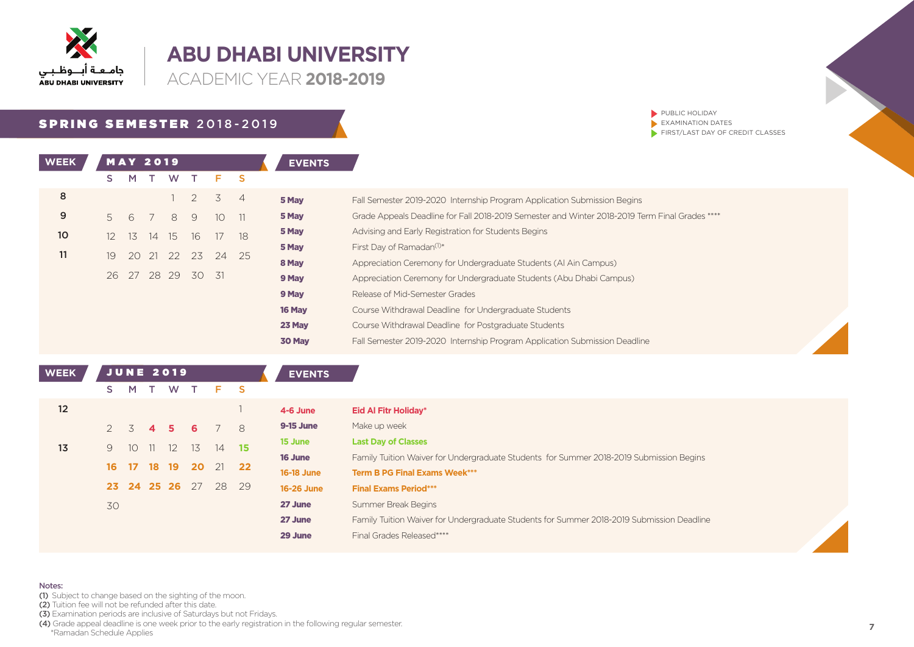

**ACADEMIC YEAR 2018-2019** 

## SPRING SEMESTER 2018-2019

| <b>WEEK</b>     |    | <b>MAY 2019</b> |     |             |                   |                     |    | <b>EVENTS</b>  |
|-----------------|----|-----------------|-----|-------------|-------------------|---------------------|----|----------------|
|                 | S  | M               | T W |             | $\top$            | F <sub>S</sub>      |    |                |
| 8               |    |                 |     | 1           |                   | $2 \quad 3 \quad 4$ |    | 5 May          |
| 9               | 5  |                 |     | 6 7 8 9     |                   | 10 <sup>°</sup>     | 11 | 5 May          |
| 10 <sup>2</sup> | 12 |                 |     | 13 14 15 16 |                   | 17                  | 18 | 5 May          |
| 11              | 19 |                 |     |             | 20 21 22 23 24    |                     | 25 | 5 May          |
|                 |    |                 |     |             |                   |                     |    | 8 May          |
|                 |    |                 |     |             | 26 27 28 29 30 31 |                     |    | 9 May          |
|                 |    |                 |     |             |                   |                     |    | 9 May          |
|                 |    |                 |     |             |                   |                     |    | 16 May         |
|                 |    |                 |     |             |                   |                     |    | <b>COMPANY</b> |

 $\blacktriangleright$  PUBLIC HOLIDAY  $\blacktriangleright$  EXAMINATION DATES  $\blacktriangleright$  FIRST/LAST DAY OF CREDIT CLASSES

| 5 May  | Fall Semester 2019-2020 Internship Program Application Submission Begins                       |
|--------|------------------------------------------------------------------------------------------------|
| 5 May  | Grade Appeals Deadline for Fall 2018-2019 Semester and Winter 2018-2019 Term Final Grades **** |
| 5 May  | Advising and Early Registration for Students Begins                                            |
| 5 May  | First Day of Ramadan <sup>(1)*</sup>                                                           |
| 8 May  | Appreciation Ceremony for Undergraduate Students (Al Ain Campus)                               |
| 9 May  | Appreciation Ceremony for Undergraduate Students (Abu Dhabi Campus)                            |
| 9 May  | Release of Mid-Semester Grades                                                                 |
| 16 Mav | Course Withdrawal Deadline for Undergraduate Students                                          |
| 23 May | Course Withdrawal Deadline for Postgraduate Students                                           |
| 30 May | Fall Semester 2019-2020 Internship Program Application Submission Deadline                     |

| <b>WEEK</b> |                 |                 |                | <b>JUNE 2019</b> |    |          | <b>EVENTS</b>     |                                                                                           |
|-------------|-----------------|-----------------|----------------|------------------|----|----------|-------------------|-------------------------------------------------------------------------------------------|
|             | S.              | M               | T              | W                |    | F S      |                   |                                                                                           |
| 12          |                 |                 |                |                  |    |          | 4-6 June          | <b>Eid Al Fitr Holiday*</b>                                                               |
|             | $2 \frac{3}{2}$ |                 | $\overline{4}$ | 5.               | 6. | $78$     | <b>9-15 June</b>  | Make up week                                                                              |
| 13          | 9               | 10 <sup>°</sup> | 11             | 12               | 13 | $14$ 15  | 15 June           | <b>Last Day of Classes</b>                                                                |
|             |                 |                 |                |                  |    |          | 16 June           | Family Tuition Waiver for Undergraduate Students for Summer 2018-2019 Submission Begins   |
|             | 16              | 17 18 19        |                |                  |    | 20 21 22 | <b>16-18 June</b> | <b>Term B PG Final Exams Week***</b>                                                      |
|             |                 |                 |                | 23 24 25 26      | 27 | 28 29    | <b>16-26 June</b> | <b>Final Exams Period***</b>                                                              |
|             | 30              |                 |                |                  |    |          | 27 June           | Summer Break Begins                                                                       |
|             |                 |                 |                |                  |    |          | 27 June           | Family Tuition Waiver for Undergraduate Students for Summer 2018-2019 Submission Deadline |
|             |                 |                 |                |                  |    |          | 29 June           | Final Grades Released****                                                                 |

#### Notes:

(1) Subject to change based on the sighting of the moon.

- (2) Tuition fee will not be refunded after this date.
- (3) Examination periods are inclusive of Saturdays but not Fridays.
- **.4)** Grade appeal deadline is one week prior to the early registration in the following regular semester.<br>\*Ramadan Schedule Applies \*Ramadan Schedule Applies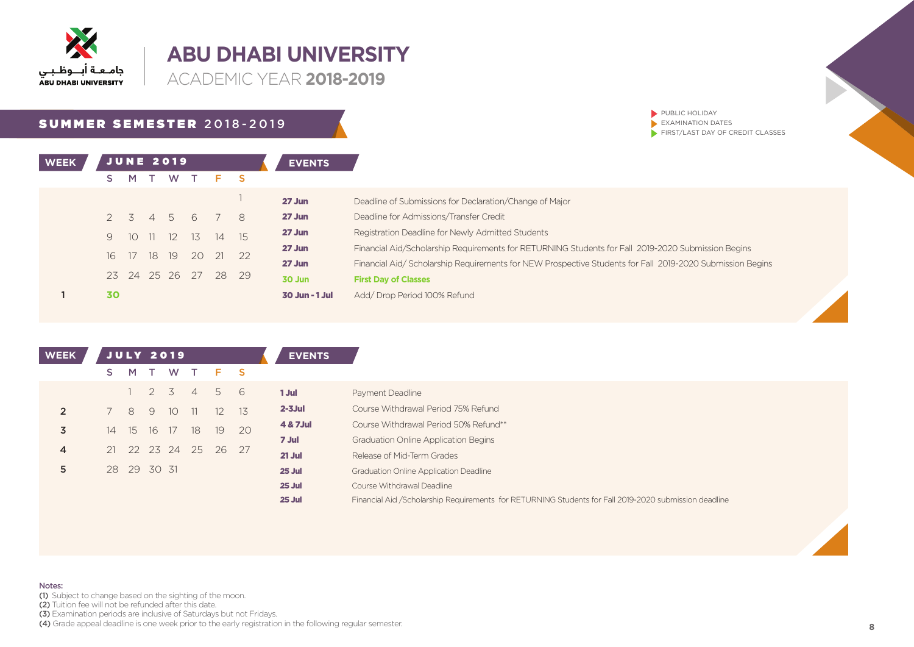

**ACADEMIC YEAR 2018-2019** 

## SUMMER SEMESTER 2018-2019

| PUBLIC HOLIDAY                   |
|----------------------------------|
| EXAMINATION DATES                |
| FIRST/LAST DAY OF CREDIT CLASSES |
|                                  |

| <b>WEEK</b> |                 |         |       | <b>JUNE 2019</b> |    |    |       | <b>EVENTS</b>  |                                                                                                          |
|-------------|-----------------|---------|-------|------------------|----|----|-------|----------------|----------------------------------------------------------------------------------------------------------|
|             |                 | M.      |       | W                |    |    |       |                |                                                                                                          |
|             |                 |         |       |                  |    |    |       | $27$ Jun       | Deadline of Submissions for Declaration/Change of Major                                                  |
|             |                 | 2 3 4 5 |       |                  | 6  |    | 8     | $27$ Jun       | Deadline for Admissions/Transfer Credit                                                                  |
|             | 9               | 1O      | -11 - | 12               | 13 |    | 14 15 | 27 Jun         | Registration Deadline for Newly Admitted Students                                                        |
|             | 16 <sup>1</sup> | 17      | 18    | -19              | 20 |    | 22    | 27 Jun         | Financial Aid/Scholarship Requirements for RETURNING Students for Fall 2019-2020 Submission Begins       |
|             |                 |         |       |                  |    | 21 |       | 27 Jun         | Financial Aid/Scholarship Requirements for NEW Prospective Students for Fall 2019-2020 Submission Begins |
|             |                 |         |       | 23 24 25 26 27   |    | 28 | 29    | 30 Jun         | <b>First Day of Classes</b>                                                                              |
|             | 30              |         |       |                  |    |    |       | 30 Jun - 1 Jul | Add/Drop Period 100% Refund                                                                              |

| <b>WEEK</b>    | <b>JULY 2019</b> |             |     |    |                |                      |    | <b>EVENTS</b> |                                                                                                        |
|----------------|------------------|-------------|-----|----|----------------|----------------------|----|---------------|--------------------------------------------------------------------------------------------------------|
|                | S.               | M           |     | W  |                | F S                  |    |               |                                                                                                        |
|                |                  |             | 2 3 |    | $\overline{4}$ | 5 6                  |    | 1 Jul         | Payment Deadline                                                                                       |
| $\overline{2}$ |                  | 8           | 9   | 10 | - 11           | 12 13                |    | $2 - 3$ Jul   | Course Withdrawal Period 75% Refund                                                                    |
| 3              | 14               | 15 16 17    |     |    | 18             | 19                   | 20 | 4 & 7 Jul     | Course Withdrawal Period 50% Refund**                                                                  |
|                |                  |             |     |    |                |                      |    | 7 Jul         | <b>Graduation Online Application Begins</b>                                                            |
| 4              |                  |             |     |    |                | 21 22 23 24 25 26 27 |    | $21$ Jul      | Release of Mid-Term Grades                                                                             |
| 5              |                  | 28 29 30 31 |     |    |                |                      |    | 25 Jul        | <b>Graduation Online Application Deadline</b>                                                          |
|                |                  |             |     |    |                |                      |    | 25 Jul        | Course Withdrawal Deadline                                                                             |
|                |                  |             |     |    |                |                      |    | 25 Jul        | Financial Aid / Scholarship Requirements for RETURNING Students for Fall 2019-2020 submission deadline |

Notes:

(1) Subject to change based on the sighting of the moon.

(2) Tuition fee will not be refunded after this date.

(3) Examination periods are inclusive of Saturdays but not Fridays.